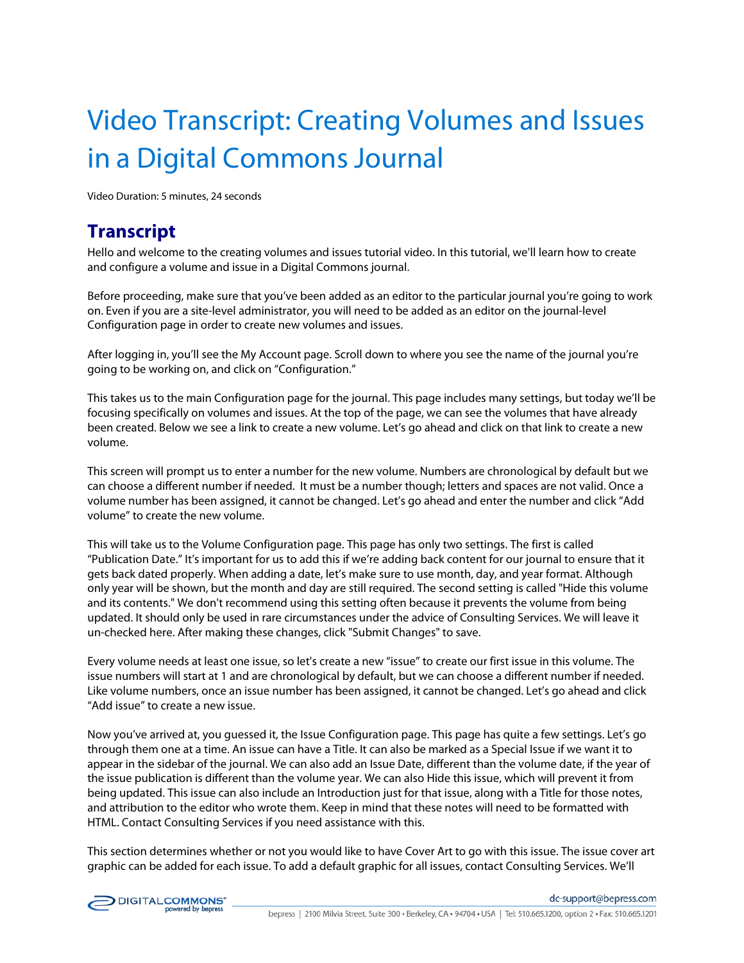## Video Transcript: Creating Volumes and Issues in a Digital Commons Journal

Video Duration: 5 minutes, 24 seconds

## **Transcript**

Hello and welcome to the creating volumes and issues tutorial video. In this tutorial, we'll learn how to create and configure a volume and issue in a Digital Commons journal.

Before proceeding, make sure that you've been added as an editor to the particular journal you're going to work on. Even if you are a site-level administrator, you will need to be added as an editor on the journal-level Configuration page in order to create new volumes and issues.

After logging in, you'll see the My Account page. Scroll down to where you see the name of the journal you're going to be working on, and click on "Configuration."

This takes us to the main Configuration page for the journal. This page includes many settings, but today we'll be focusing specifically on volumes and issues. At the top of the page, we can see the volumes that have already been created. Below we see a link to create a new volume. Let's go ahead and click on that link to create a new volume.

This screen will prompt us to enter a number for the new volume. Numbers are chronological by default but we can choose a different number if needed. It must be a number though; letters and spaces are not valid. Once a volume number has been assigned, it cannot be changed. Let's go ahead and enter the number and click "Add volume" to create the new volume.

This will take us to the Volume Configuration page. This page has only two settings. The first is called "Publication Date." It's important for us to add this if we're adding back content for our journal to ensure that it gets back dated properly. When adding a date, let's make sure to use month, day, and year format. Although only year will be shown, but the month and day are still required. The second setting is called "Hide this volume and its contents." We don't recommend using this setting often because it prevents the volume from being updated. It should only be used in rare circumstances under the advice of Consulting Services. We will leave it un-checked here. After making these changes, click "Submit Changes" to save.

Every volume needs at least one issue, so let's create a new "issue" to create our first issue in this volume. The issue numbers will start at 1 and are chronological by default, but we can choose a different number if needed. Like volume numbers, once an issue number has been assigned, it cannot be changed. Let's go ahead and click "Add issue" to create a new issue.

Now you've arrived at, you guessed it, the Issue Configuration page. This page has quite a few settings. Let's go through them one at a time. An issue can have a Title. It can also be marked as a Special Issue if we want it to appear in the sidebar of the journal. We can also add an Issue Date, different than the volume date, if the year of the issue publication is different than the volume year. We can also Hide this issue, which will prevent it from being updated. This issue can also include an Introduction just for that issue, along with a Title for those notes, and attribution to the editor who wrote them. Keep in mind that these notes will need to be formatted with HTML. Contact Consulting Services if you need assistance with this.

This section determines whether or not you would like to have Cover Art to go with this issue. The issue cover art graphic can be added for each issue. To add a default graphic for all issues, contact Consulting Services. We'll

dc-support@bepress.com